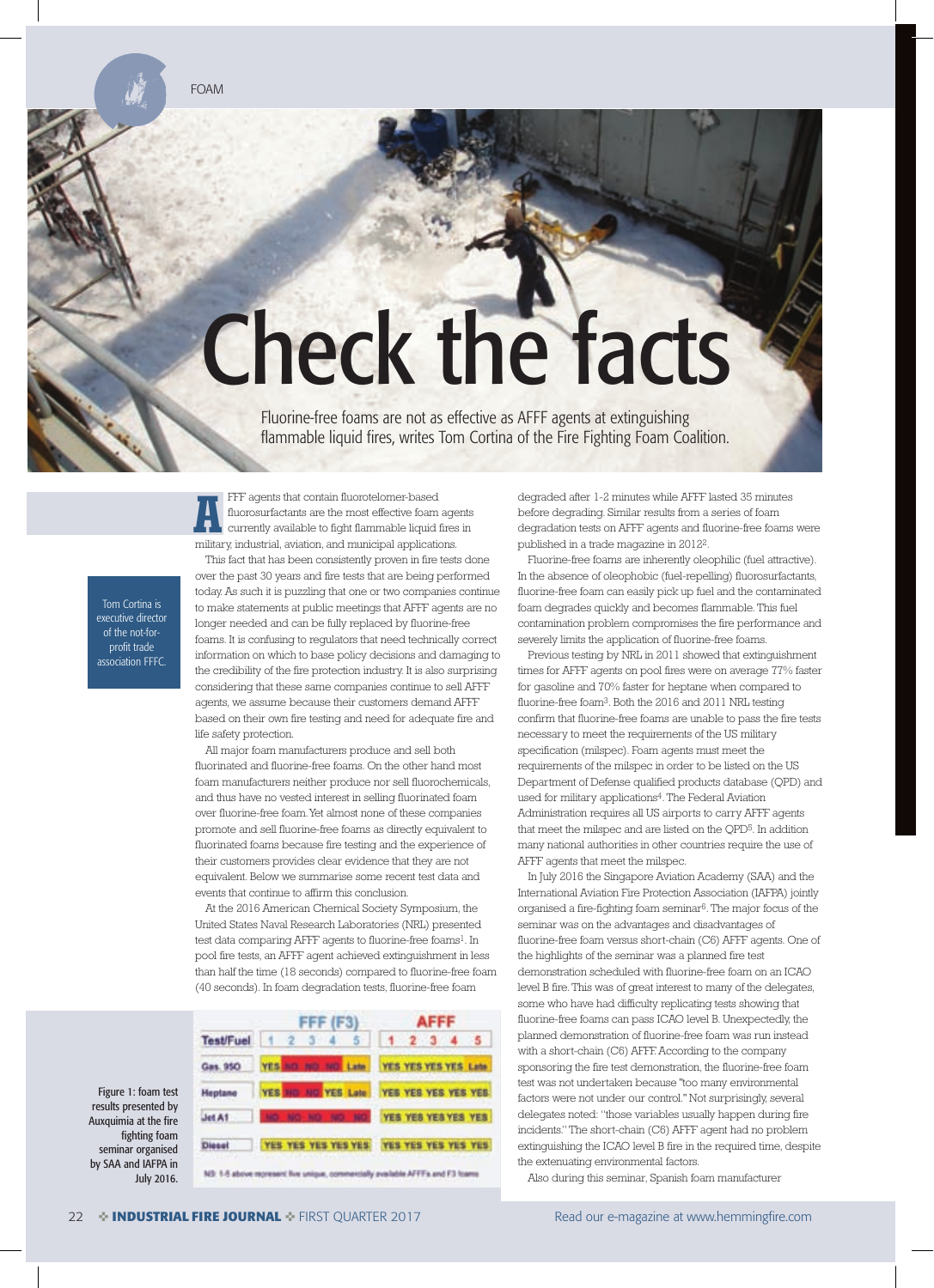## Check the facts

Fluorine-free foams are not as effective as AFFF agents at extinguishing flammable liquid fires, writes Tom Cortina of the Fire Fighting Foam Coalition.

FFF agents that contain fluorotelomer-based fluorosurfactants are the most effective foam agents currently available to fight flammable liquid fires in FFF agents that contain fluorotelomer-based<br>fluorosurfactants are the most effective foam age<br>currently available to fight flammable liquid fires<br>military, industrial, aviation, and municipal applications.

Tom Cortina is executive director of the not-forprofit trade association FFFC.

Figure 1: foam test results presented by Auxquimia at the fire fighting foam seminar organised by SAA and IAFPA in July 2016.

This fact that has been consistently proven in fire tests done over the past 30 years and fire tests that are being performed today. As such it is puzzling that one or two companies continue to make statements at public meetings that AFFF agents are no longer needed and can be fully replaced by fluorine-free foams. It is confusing to regulators that need technically correct information on which to base policy decisions and damaging to the credibility of the fire protection industry. It is also surprising considering that these same companies continue to sell AFFF agents, we assume because their customers demand AFFF based on their own fire testing and need for adequate fire and life safety protection.

All major foam manufacturers produce and sell both fluorinated and fluorine-free foams. On the other hand most foam manufacturers neither produce nor sell fluorochemicals, and thus have no vested interest in selling fluorinated foam over fluorine-free foam. Yet almost none of these companies promote and sell fluorine-free foams as directly equivalent to fluorinated foams because fire testing and the experience of their customers provides clear evidence that they are not equivalent. Below we summarise some recent test data and events that continue to affirm this conclusion.

At the 2016 American Chemical Society Symposium, the United States Naval Research Laboratories (NRL) presented test data comparing AFFF agents to fluorine-free foams<sup>1</sup>. In pool fire tests, an AFFF agent achieved extinguishment in less than half the time (18 seconds) compared to fluorine-free foam (40 seconds). In foam degradation tests, fluorine-free foam



NB: 1-5 above represent flor unique, commercially available AFFFs and F3 foams

degraded after 1-2 minutes while AFFF lasted 35 minutes before degrading. Similar results from a series of foam degradation tests on AFFF agents and fluorine-free foams were published in a trade magazine in 20122.

Fluorine-free foams are inherently oleophilic (fuel attractive). In the absence of oleophobic (fuel-repelling) fluorosurfactants, fluorine-free foam can easily pick up fuel and the contaminated foam degrades quickly and becomes flammable. This fuel contamination problem compromises the fire performance and severely limits the application of fluorine-free foams.

Previous testing by NRL in 2011 showed that extinguishment times for AFFF agents on pool fires were on average 77% faster for gasoline and 70% faster for heptane when compared to fluorine-free foam3. Both the 2016 and 2011 NRL testing confirm that fluorine-free foams are unable to pass the fire tests necessary to meet the requirements of the US military specification (milspec). Foam agents must meet the requirements of the milspec in order to be listed on the US Department of Defense qualified products database (QPD) and used for military applications<sup>4</sup>. The Federal Aviation Administration requires all US airports to carry AFFF agents that meet the milspec and are listed on the QPD5. In addition many national authorities in other countries require the use of AFFF agents that meet the milspec.

In July 2016 the Singapore Aviation Academy (SAA) and the International Aviation Fire Protection Association (IAFPA) jointly organised a fire-fighting foam seminar6. The major focus of the seminar was on the advantages and disadvantages of fluorine-free foam versus short-chain (C6) AFFF agents. One of the highlights of the seminar was a planned fire test demonstration scheduled with fluorine-free foam on an ICAO level B fire. This was of great interest to many of the delegates, some who have had difficulty replicating tests showing that fluorine-free foams can pass ICAO level B. Unexpectedly, the planned demonstration of fluorine-free foam was run instead with a short-chain (C6) AFFF. According to the company sponsoring the fire test demonstration, the fluorine-free foam test was not undertaken because "too many environmental factors were not under our control." Not surprisingly, several delegates noted: "those variables usually happen during fire incidents." The short-chain (C6) AFFF agent had no problem extinguishing the ICAO level B fire in the required time, despite the extenuating environmental factors.

Also during this seminar, Spanish foam manufacturer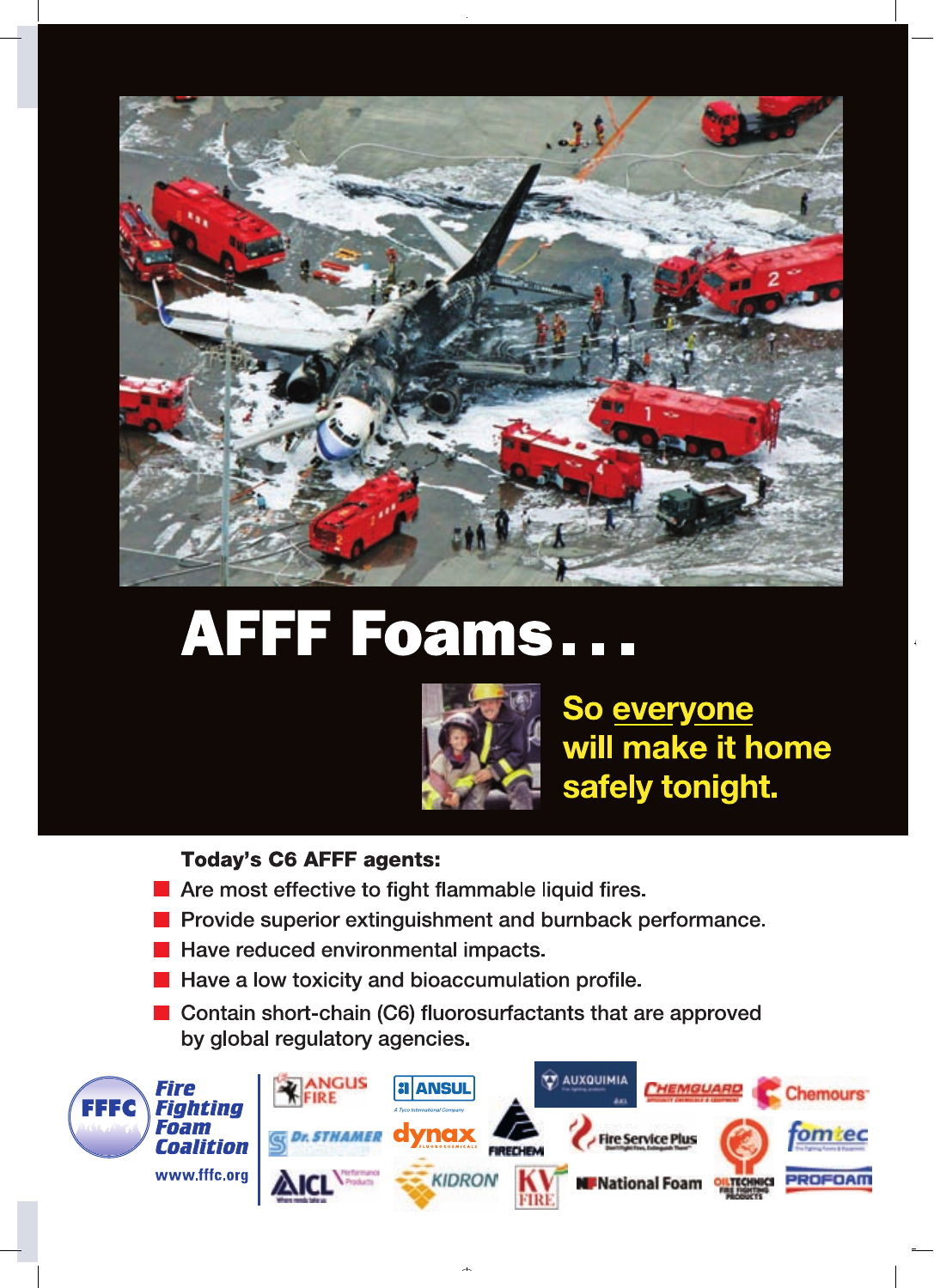

## AFFF Foams...



So everyone will make it home safely tonight.

## **Today's C6 AFFF agents:**

- Are most effective to fight flammable liquid fires.
- Provide superior extinguishment and burnback performance.
- Have reduced environmental impacts.
- **E** Have a low toxicity and bioaccumulation profile.
- Contain short-chain (C6) fluorosurfactants that are approved by global regulatory agencies.